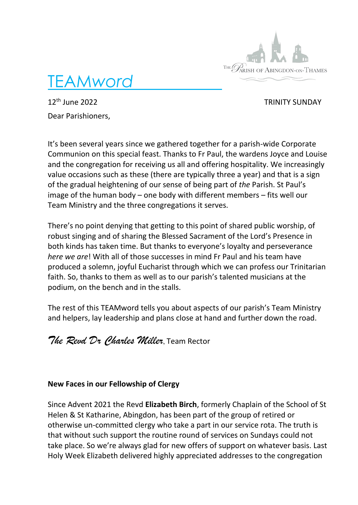

TEAM*word* 

12<sup>th</sup> June 2022 **TRINITY SUNDAY** Dear Parishioners,

It's been several years since we gathered together for a parish-wide Corporate Communion on this special feast. Thanks to Fr Paul, the wardens Joyce and Louise and the congregation for receiving us all and offering hospitality. We increasingly value occasions such as these (there are typically three a year) and that is a sign of the gradual heightening of our sense of being part of *the* Parish. St Paul's image of the human body – one body with different members – fits well our Team Ministry and the three congregations it serves.

There's no point denying that getting to this point of shared public worship, of robust singing and of sharing the Blessed Sacrament of the Lord's Presence in both kinds has taken time. But thanks to everyone's loyalty and perseverance *here we are*! With all of those successes in mind Fr Paul and his team have produced a solemn, joyful Eucharist through which we can profess our Trinitarian faith. So, thanks to them as well as to our parish's talented musicians at the podium, on the bench and in the stalls.

The rest of this TEAMword tells you about aspects of our parish's Team Ministry and helpers, lay leadership and plans close at hand and further down the road.

*The Revd Dr Charles Miller*, Team Rector

## **New Faces in our Fellowship of Clergy**

Since Advent 2021 the Revd **Elizabeth Birch**, formerly Chaplain of the School of St Helen & St Katharine, Abingdon, has been part of the group of retired or otherwise un-committed clergy who take a part in our service rota. The truth is that without such support the routine round of services on Sundays could not take place. So we're always glad for new offers of support on whatever basis. Last Holy Week Elizabeth delivered highly appreciated addresses to the congregation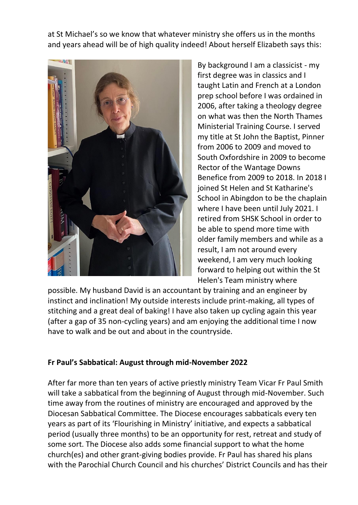at St Michael's so we know that whatever ministry she offers us in the months and years ahead will be of high quality indeed! About herself Elizabeth says this:



By background I am a classicist - my first degree was in classics and I taught Latin and French at a London prep school before I was ordained in 2006, after taking a theology degree on what was then the North Thames Ministerial Training Course. I served my title at St John the Baptist, Pinner from 2006 to 2009 and moved to South Oxfordshire in 2009 to become Rector of the Wantage Downs Benefice from 2009 to 2018. In 2018 I joined St Helen and St Katharine's School in Abingdon to be the chaplain where I have been until July 2021. I retired from SHSK School in order to be able to spend more time with older family members and while as a result, I am not around every weekend, I am very much looking forward to helping out within the St Helen's Team ministry where

possible. My husband David is an accountant by training and an engineer by instinct and inclination! My outside interests include print-making, all types of stitching and a great deal of baking! I have also taken up cycling again this year (after a gap of 35 non-cycling years) and am enjoying the additional time I now have to walk and be out and about in the countryside.

## **Fr Paul's Sabbatical: August through mid-November 2022**

After far more than ten years of active priestly ministry Team Vicar Fr Paul Smith will take a sabbatical from the beginning of August through mid-November. Such time away from the routines of ministry are encouraged and approved by the Diocesan Sabbatical Committee. The Diocese encourages sabbaticals every ten years as part of its 'Flourishing in Ministry' initiative, and expects a sabbatical period (usually three months) to be an opportunity for rest, retreat and study of some sort. The Diocese also adds some financial support to what the home church(es) and other grant-giving bodies provide. Fr Paul has shared his plans with the Parochial Church Council and his churches' District Councils and has their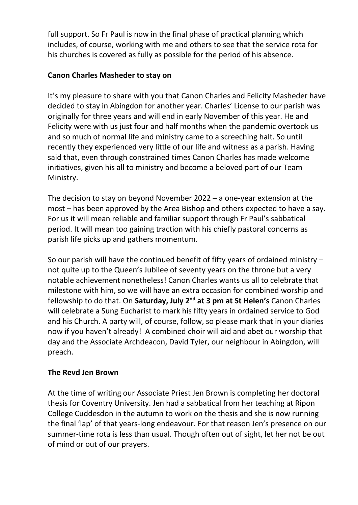full support. So Fr Paul is now in the final phase of practical planning which includes, of course, working with me and others to see that the service rota for his churches is covered as fully as possible for the period of his absence.

## **Canon Charles Masheder to stay on**

It's my pleasure to share with you that Canon Charles and Felicity Masheder have decided to stay in Abingdon for another year. Charles' License to our parish was originally for three years and will end in early November of this year. He and Felicity were with us just four and half months when the pandemic overtook us and so much of normal life and ministry came to a screeching halt. So until recently they experienced very little of our life and witness as a parish. Having said that, even through constrained times Canon Charles has made welcome initiatives, given his all to ministry and become a beloved part of our Team Ministry.

The decision to stay on beyond November 2022 – a one-year extension at the most – has been approved by the Area Bishop and others expected to have a say. For us it will mean reliable and familiar support through Fr Paul's sabbatical period. It will mean too gaining traction with his chiefly pastoral concerns as parish life picks up and gathers momentum.

So our parish will have the continued benefit of fifty years of ordained ministry – not quite up to the Queen's Jubilee of seventy years on the throne but a very notable achievement nonetheless! Canon Charles wants us all to celebrate that milestone with him, so we will have an extra occasion for combined worship and fellowship to do that. On **Saturday, July 2nd at 3 pm at St Helen's** Canon Charles will celebrate a Sung Eucharist to mark his fifty years in ordained service to God and his Church. A party will, of course, follow, so please mark that in your diaries now if you haven't already! A combined choir will aid and abet our worship that day and the Associate Archdeacon, David Tyler, our neighbour in Abingdon, will preach.

## **The Revd Jen Brown**

At the time of writing our Associate Priest Jen Brown is completing her doctoral thesis for Coventry University. Jen had a sabbatical from her teaching at Ripon College Cuddesdon in the autumn to work on the thesis and she is now running the final 'lap' of that years-long endeavour. For that reason Jen's presence on our summer-time rota is less than usual. Though often out of sight, let her not be out of mind or out of our prayers.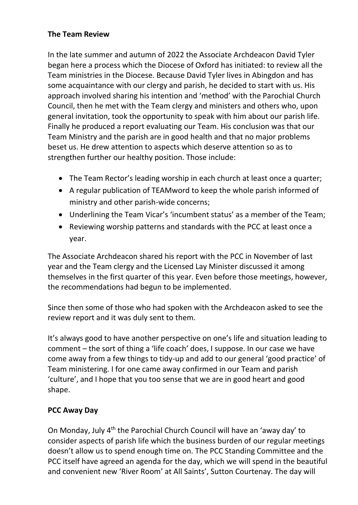## **The Team Review**

In the late summer and autumn of 2022 the Associate Archdeacon David Tyler began here a process which the Diocese of Oxford has initiated: to review all the Team ministries in the Diocese. Because David Tyler lives in Abingdon and has some acquaintance with our clergy and parish, he decided to start with us. His approach involved sharing his intention and 'method' with the Parochial Church Council, then he met with the Team clergy and ministers and others who, upon general invitation, took the opportunity to speak with him about our parish life. Finally he produced a report evaluating our Team. His conclusion was that our Team Ministry and the parish are in good health and that no major problems beset us. He drew attention to aspects which deserve attention so as to strengthen further our healthy position. Those include:

- The Team Rector's leading worship in each church at least once a quarter;
- A regular publication of TEAMword to keep the whole parish informed of ministry and other parish-wide concerns;
- Underlining the Team Vicar's 'incumbent status' as a member of the Team;
- Reviewing worship patterns and standards with the PCC at least once a year.

The Associate Archdeacon shared his report with the PCC in November of last year and the Team clergy and the Licensed Lay Minister discussed it among themselves in the first quarter of this year. Even before those meetings, however, the recommendations had begun to be implemented.

Since then some of those who had spoken with the Archdeacon asked to see the review report and it was duly sent to them.

It's always good to have another perspective on one's life and situation leading to comment – the sort of thing a 'life coach' does, I suppose. In our case we have come away from a few things to tidy-up and add to our general 'good practice' of Team ministering. I for one came away confirmed in our Team and parish 'culture', and I hope that you too sense that we are in good heart and good shape.

## **PCC Away Day**

On Monday, July 4<sup>th</sup> the Parochial Church Council will have an 'away day' to consider aspects of parish life which the business burden of our regular meetings doesn't allow us to spend enough time on. The PCC Standing Committee and the PCC itself have agreed an agenda for the day, which we will spend in the beautiful and convenient new 'River Room' at All Saints', Sutton Courtenay. The day will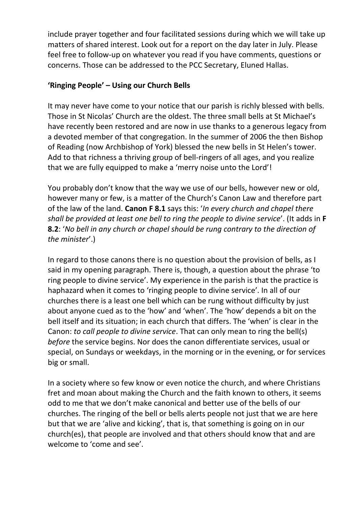include prayer together and four facilitated sessions during which we will take up matters of shared interest. Look out for a report on the day later in July. Please feel free to follow-up on whatever you read if you have comments, questions or concerns. Those can be addressed to the PCC Secretary, Eluned Hallas.

## **'Ringing People' – Using our Church Bells**

It may never have come to your notice that our parish is richly blessed with bells. Those in St Nicolas' Church are the oldest. The three small bells at St Michael's have recently been restored and are now in use thanks to a generous legacy from a devoted member of that congregation. In the summer of 2006 the then Bishop of Reading (now Archbishop of York) blessed the new bells in St Helen's tower. Add to that richness a thriving group of bell-ringers of all ages, and you realize that we are fully equipped to make a 'merry noise unto the Lord'!

You probably don't know that the way we use of our bells, however new or old, however many or few, is a matter of the Church's Canon Law and therefore part of the law of the land. **Canon F 8.1** says this: '*In every church and chapel there shall be provided at least one bell to ring the people to divine service*'. (It adds in **F 8.2**: '*No bell in any church or chapel should be rung contrary to the direction of the minister*'.)

In regard to those canons there is no question about the provision of bells, as I said in my opening paragraph. There is, though, a question about the phrase 'to ring people to divine service'. My experience in the parish is that the practice is haphazard when it comes to 'ringing people to divine service'. In all of our churches there is a least one bell which can be rung without difficulty by just about anyone cued as to the 'how' and 'when'. The 'how' depends a bit on the bell itself and its situation; in each church that differs. The 'when' is clear in the Canon: *to call people to divine service*. That can only mean to ring the bell(s) *before* the service begins. Nor does the canon differentiate services, usual or special, on Sundays or weekdays, in the morning or in the evening, or for services big or small.

In a society where so few know or even notice the church, and where Christians fret and moan about making the Church and the faith known to others, it seems odd to me that we don't make canonical and better use of the bells of our churches. The ringing of the bell or bells alerts people not just that we are here but that we are 'alive and kicking', that is, that something is going on in our church(es), that people are involved and that others should know that and are welcome to 'come and see'.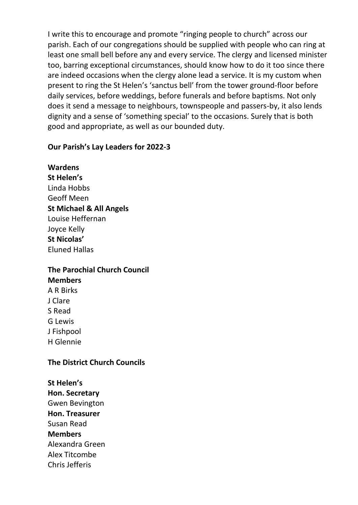I write this to encourage and promote "ringing people to church" across our parish. Each of our congregations should be supplied with people who can ring at least one small bell before any and every service. The clergy and licensed minister too, barring exceptional circumstances, should know how to do it too since there are indeed occasions when the clergy alone lead a service. It is my custom when present to ring the St Helen's 'sanctus bell' from the tower ground-floor before daily services, before weddings, before funerals and before baptisms. Not only does it send a message to neighbours, townspeople and passers-by, it also lends dignity and a sense of 'something special' to the occasions. Surely that is both good and appropriate, as well as our bounded duty.

#### **Our Parish's Lay Leaders for 2022-3**

**Wardens St Helen's** Linda Hobbs Geoff Meen **St Michael & All Angels** Louise Heffernan Joyce Kelly **St Nicolas'** Eluned Hallas

## **The Parochial Church Council**

**Members** A R Birks J Clare S Read G Lewis J Fishpool H Glennie

#### **The District Church Councils**

**St Helen's Hon. Secretary** Gwen Bevington **Hon. Treasurer** Susan Read **Members** Alexandra Green Alex Titcombe Chris Jefferis